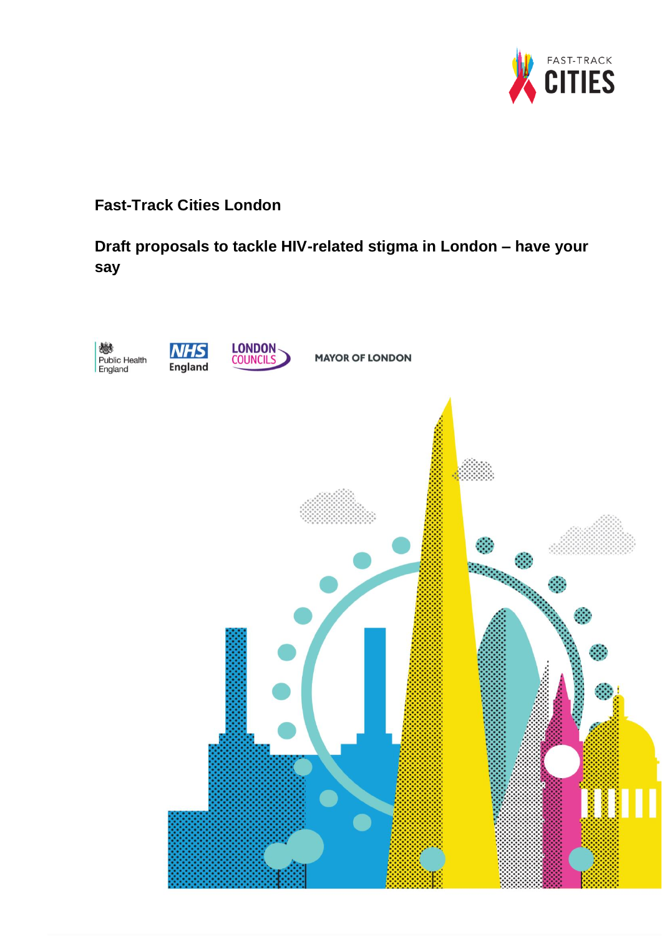

## **Fast-Track Cities London**

# **Draft proposals to tackle HIV-related stigma in London – have your say**

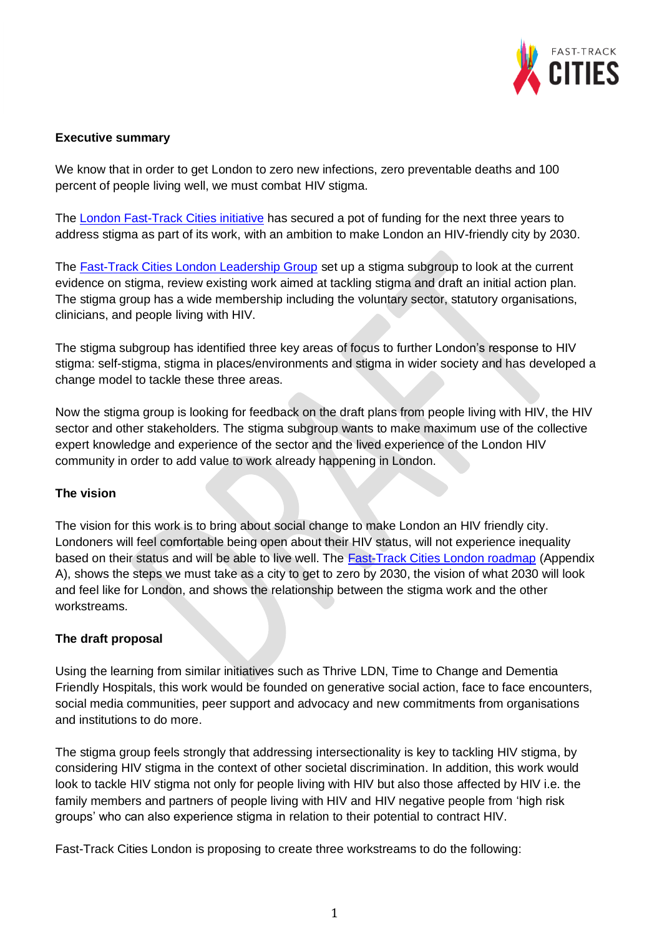

### **Executive summary**

We know that in order to get London to zero new infections, zero preventable deaths and 100 percent of people living well, we must combat HIV stigma.

The [London Fast-Track Cities initiative](https://www.healthylondon.org/our-work/fast-track-cities-initiative/) has secured a pot of funding for the next three years to address stigma as part of its work, with an ambition to make London an HIV-friendly city by 2030.

The [Fast-Track Cities London Leadership Group](https://www.healthylondon.org/our-work/fast-track-cities-initiative/fast-track-cities-london-leadership-group/) set up a stigma subgroup to look at the current evidence on stigma, review existing work aimed at tackling stigma and draft an initial action plan. The stigma group has a wide membership including the voluntary sector, statutory organisations, clinicians, and people living with HIV.

The stigma subgroup has identified three key areas of focus to further London's response to HIV stigma: self-stigma, stigma in places/environments and stigma in wider society and has developed a change model to tackle these three areas.

Now the stigma group is looking for feedback on the draft plans from people living with HIV, the HIV sector and other stakeholders. The stigma subgroup wants to make maximum use of the collective expert knowledge and experience of the sector and the lived experience of the London HIV community in order to add value to work already happening in London.

#### **The vision**

The vision for this work is to bring about social change to make London an HIV friendly city. Londoners will feel comfortable being open about their HIV status, will not experience inequality based on their status and will be able to live well. The [Fast-Track Cities London roadmap](https://www.healthylondon.org/our-work/fast-track-cities-initiative/fast-track-cities-london-roadmap-2019-2022/) (Appendix A), shows the steps we must take as a city to get to zero by 2030, the vision of what 2030 will look and feel like for London, and shows the relationship between the stigma work and the other workstreams.

## **The draft proposal**

Using the learning from similar initiatives such as Thrive LDN, Time to Change and Dementia Friendly Hospitals, this work would be founded on generative social action, face to face encounters, social media communities, peer support and advocacy and new commitments from organisations and institutions to do more.

The stigma group feels strongly that addressing intersectionality is key to tackling HIV stigma, by considering HIV stigma in the context of other societal discrimination. In addition, this work would look to tackle HIV stigma not only for people living with HIV but also those affected by HIV i.e. the family members and partners of people living with HIV and HIV negative people from 'high risk groups' who can also experience stigma in relation to their potential to contract HIV.

Fast-Track Cities London is proposing to create three workstreams to do the following: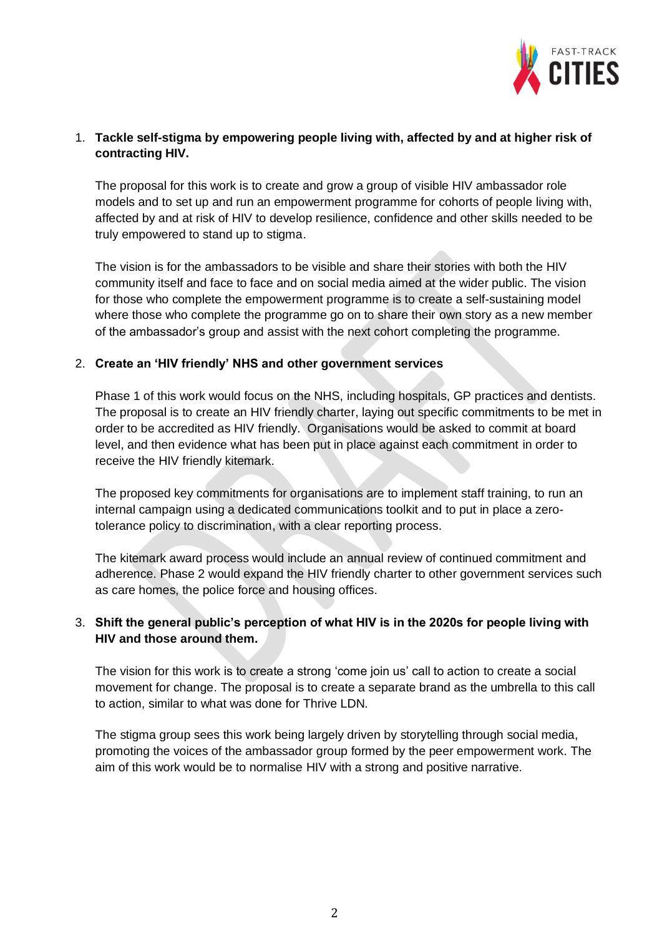

### 1. **Tackle self-stigma by empowering people living with, affected by and at higher risk of contracting HIV.**

The proposal for this work is to create and grow a group of visible HIV ambassador role models and to set up and run an empowerment programme for cohorts of people living with, affected by and at risk of HIV to develop resilience, confidence and other skills needed to be truly empowered to stand up to stigma.

The vision is for the ambassadors to be visible and share their stories with both the HIV community itself and face to face and on social media aimed at the wider public. The vision for those who complete the empowerment programme is to create a self-sustaining model where those who complete the programme go on to share their own story as a new member of the ambassador's group and assist with the next cohort completing the programme.

#### 2. **Create an 'HIV friendly' NHS and other government services**

Phase 1 of this work would focus on the NHS, including hospitals, GP practices and dentists. The proposal is to create an HIV friendly charter, laying out specific commitments to be met in order to be accredited as HIV friendly. Organisations would be asked to commit at board level, and then evidence what has been put in place against each commitment in order to receive the HIV friendly kitemark.

The proposed key commitments for organisations are to implement staff training, to run an internal campaign using a dedicated communications toolkit and to put in place a zerotolerance policy to discrimination, with a clear reporting process.

The kitemark award process would include an annual review of continued commitment and adherence. Phase 2 would expand the HIV friendly charter to other government services such as care homes, the police force and housing offices.

## 3. **Shift the general public's perception of what HIV is in the 2020s for people living with HIV and those around them.**

The vision for this work is to create a strong 'come join us' call to action to create a social movement for change. The proposal is to create a separate brand as the umbrella to this call to action, similar to what was done for Thrive LDN.

The stigma group sees this work being largely driven by storytelling through social media, promoting the voices of the ambassador group formed by the peer empowerment work. The aim of this work would be to normalise HIV with a strong and positive narrative.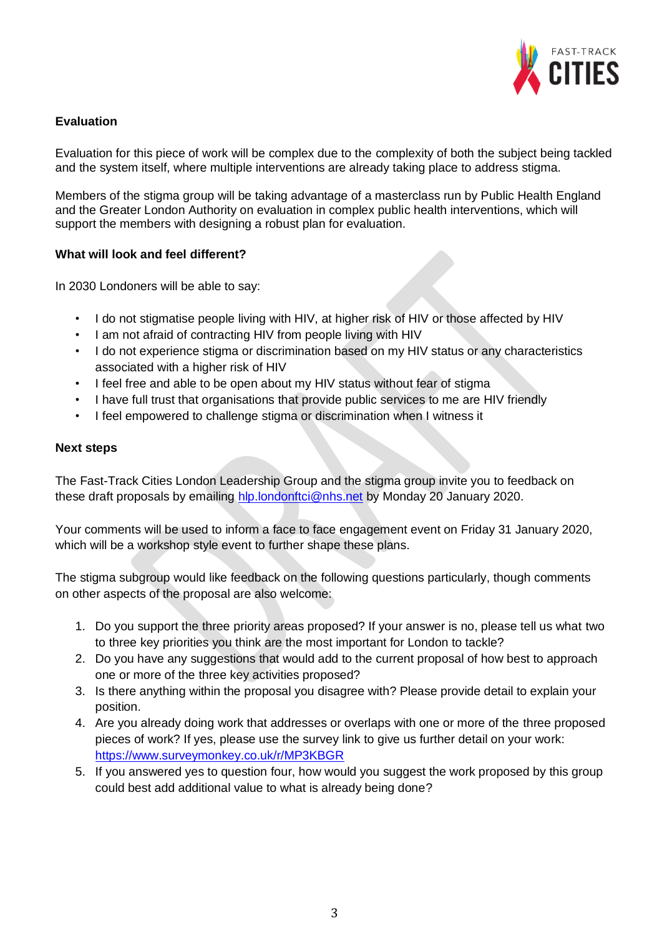

## **Evaluation**

Evaluation for this piece of work will be complex due to the complexity of both the subject being tackled and the system itself, where multiple interventions are already taking place to address stigma.

Members of the stigma group will be taking advantage of a masterclass run by Public Health England and the Greater London Authority on evaluation in complex public health interventions, which will support the members with designing a robust plan for evaluation.

### **What will look and feel different?**

In 2030 Londoners will be able to say:

- I do not stigmatise people living with HIV, at higher risk of HIV or those affected by HIV
- I am not afraid of contracting HIV from people living with HIV
- I do not experience stigma or discrimination based on my HIV status or any characteristics associated with a higher risk of HIV
- I feel free and able to be open about my HIV status without fear of stigma
- I have full trust that organisations that provide public services to me are HIV friendly
- I feel empowered to challenge stigma or discrimination when I witness it

#### **Next steps**

The Fast-Track Cities London Leadership Group and the stigma group invite you to feedback on these draft proposals by emailing [hlp.londonftci@nhs.net](mailto:hlp.londonftci@nhs.net) by Monday 20 January 2020.

Your comments will be used to inform a face to face engagement event on Friday 31 January 2020, which will be a workshop style event to further shape these plans.

The stigma subgroup would like feedback on the following questions particularly, though comments on other aspects of the proposal are also welcome:

- 1. Do you support the three priority areas proposed? If your answer is no, please tell us what two to three key priorities you think are the most important for London to tackle?
- 2. Do you have any suggestions that would add to the current proposal of how best to approach one or more of the three key activities proposed?
- 3. Is there anything within the proposal you disagree with? Please provide detail to explain your position.
- 4. Are you already doing work that addresses or overlaps with one or more of the three proposed pieces of work? If yes, please use the survey link to give us further detail on your work: <https://www.surveymonkey.co.uk/r/MP3KBGR>
- 5. If you answered yes to question four, how would you suggest the work proposed by this group could best add additional value to what is already being done?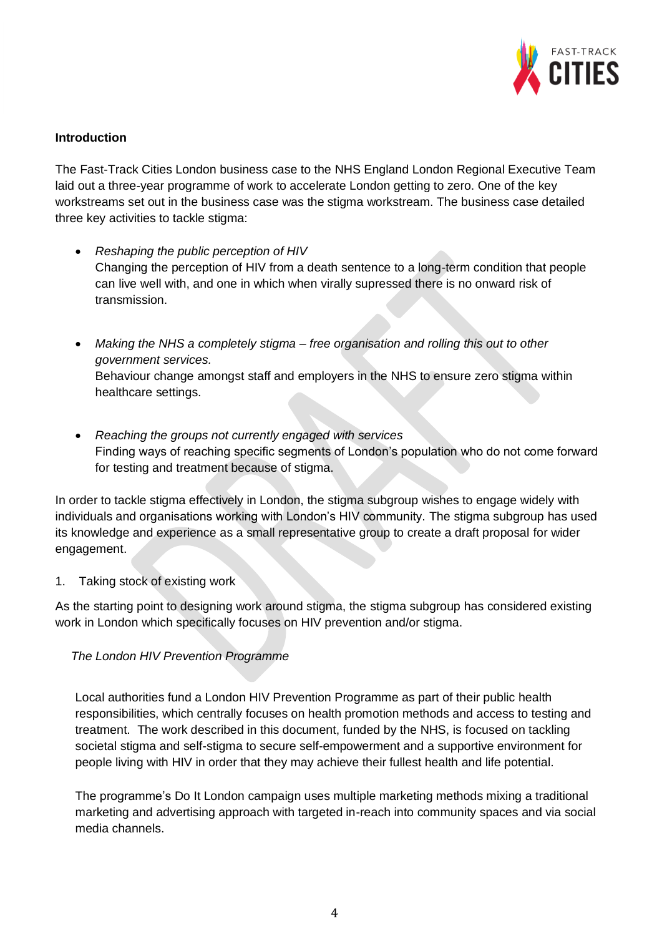

### **Introduction**

The Fast-Track Cities London business case to the NHS England London Regional Executive Team laid out a three-year programme of work to accelerate London getting to zero. One of the key workstreams set out in the business case was the stigma workstream. The business case detailed three key activities to tackle stigma:

- *Reshaping the public perception of HIV* Changing the perception of HIV from a death sentence to a long-term condition that people can live well with, and one in which when virally supressed there is no onward risk of transmission.
- *Making the NHS a completely stigma – free organisation and rolling this out to other government services.* Behaviour change amongst staff and employers in the NHS to ensure zero stigma within healthcare settings.
- *Reaching the groups not currently engaged with services* Finding ways of reaching specific segments of London's population who do not come forward for testing and treatment because of stigma.

In order to tackle stigma effectively in London, the stigma subgroup wishes to engage widely with individuals and organisations working with London's HIV community. The stigma subgroup has used its knowledge and experience as a small representative group to create a draft proposal for wider engagement.

#### 1. Taking stock of existing work

As the starting point to designing work around stigma, the stigma subgroup has considered existing work in London which specifically focuses on HIV prevention and/or stigma.

#### *The London HIV Prevention Programme*

Local authorities fund a London HIV Prevention Programme as part of their public health responsibilities, which centrally focuses on health promotion methods and access to testing and treatment. The work described in this document, funded by the NHS, is focused on tackling societal stigma and self-stigma to secure self-empowerment and a supportive environment for people living with HIV in order that they may achieve their fullest health and life potential.

The programme's Do It London campaign uses multiple marketing methods mixing a traditional marketing and advertising approach with targeted in-reach into community spaces and via social media channels.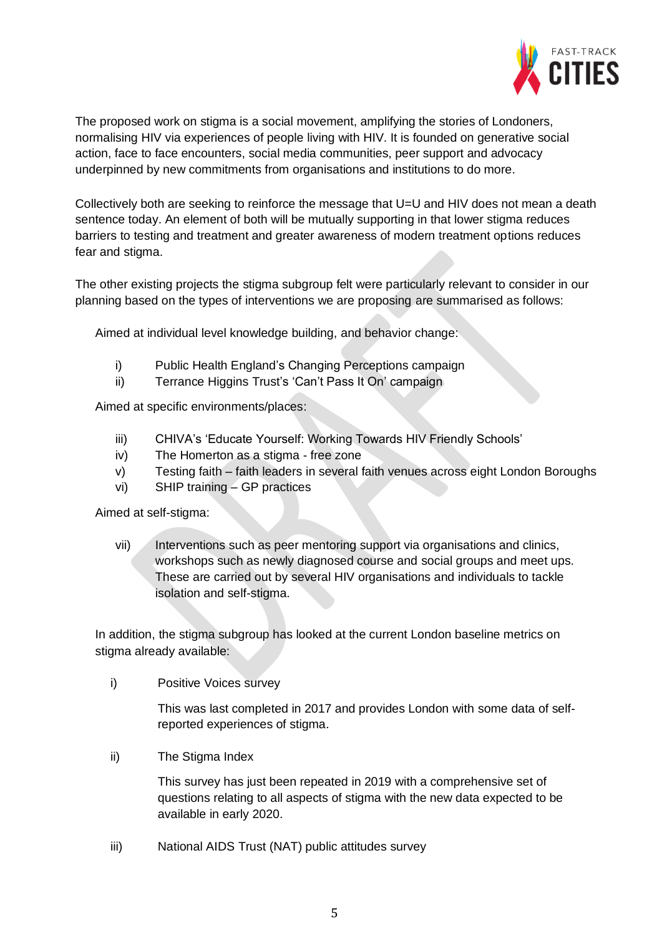

The proposed work on stigma is a social movement, amplifying the stories of Londoners, normalising HIV via experiences of people living with HIV. It is founded on generative social action, face to face encounters, social media communities, peer support and advocacy underpinned by new commitments from organisations and institutions to do more.

Collectively both are seeking to reinforce the message that U=U and HIV does not mean a death sentence today. An element of both will be mutually supporting in that lower stigma reduces barriers to testing and treatment and greater awareness of modern treatment options reduces fear and stigma.

The other existing projects the stigma subgroup felt were particularly relevant to consider in our planning based on the types of interventions we are proposing are summarised as follows:

Aimed at individual level knowledge building, and behavior change:

- i) Public Health England's Changing Perceptions campaign
- ii) Terrance Higgins Trust's 'Can't Pass It On' campaign

Aimed at specific environments/places:

- iii) CHIVA's 'Educate Yourself: Working Towards HIV Friendly Schools'
- iv) The Homerton as a stigma free zone
- v) Testing faith faith leaders in several faith venues across eight London Boroughs
- vi) SHIP training GP practices

Aimed at self-stigma:

vii) Interventions such as peer mentoring support via organisations and clinics, workshops such as newly diagnosed course and social groups and meet ups. These are carried out by several HIV organisations and individuals to tackle isolation and self-stigma.

In addition, the stigma subgroup has looked at the current London baseline metrics on stigma already available:

i) Positive Voices survey

This was last completed in 2017 and provides London with some data of selfreported experiences of stigma.

ii) The Stigma Index

This survey has just been repeated in 2019 with a comprehensive set of questions relating to all aspects of stigma with the new data expected to be available in early 2020.

iii) National AIDS Trust (NAT) public attitudes survey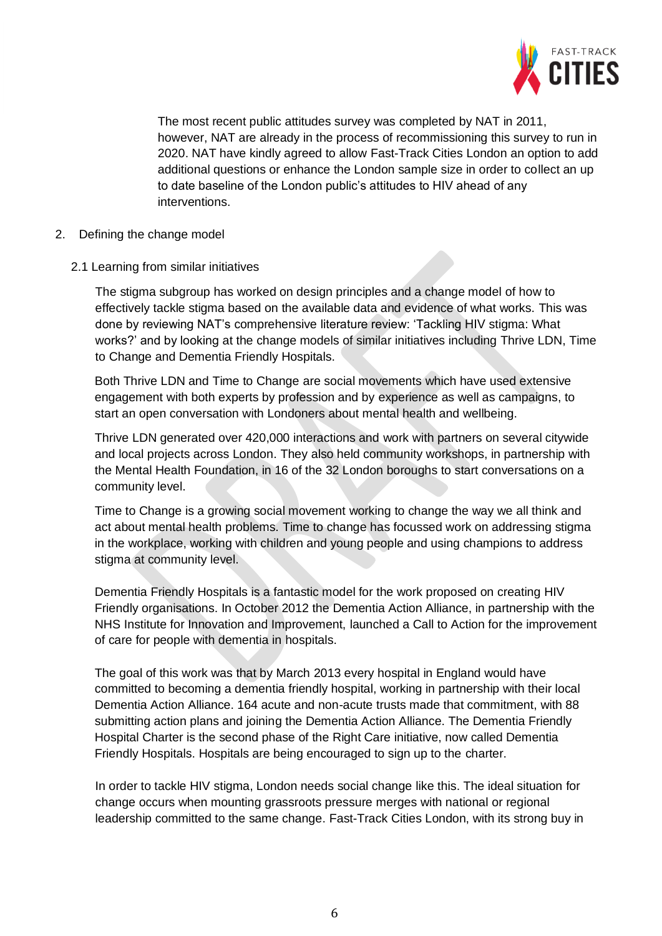

The most recent public attitudes survey was completed by NAT in 2011, however, NAT are already in the process of recommissioning this survey to run in 2020. NAT have kindly agreed to allow Fast-Track Cities London an option to add additional questions or enhance the London sample size in order to collect an up to date baseline of the London public's attitudes to HIV ahead of any interventions.

- 2. Defining the change model
	- 2.1 Learning from similar initiatives

The stigma subgroup has worked on design principles and a change model of how to effectively tackle stigma based on the available data and evidence of what works. This was done by reviewing NAT's comprehensive literature review: 'Tackling HIV stigma: What works?' and by looking at the change models of similar initiatives including Thrive LDN, Time to Change and Dementia Friendly Hospitals.

Both Thrive LDN and Time to Change are social movements which have used extensive engagement with both experts by profession and by experience as well as campaigns, to start an open conversation with Londoners about mental health and wellbeing.

Thrive LDN generated over 420,000 interactions and work with partners on several citywide and local projects across London. They also held community workshops, in partnership with the Mental Health Foundation, in 16 of the 32 London boroughs to start conversations on a community level.

Time to Change is a growing social movement working to change the way we all think and act about mental health problems. Time to change has focussed work on addressing stigma in the workplace, working with children and young people and using champions to address stigma at community level.

Dementia Friendly Hospitals is a fantastic model for the work proposed on creating HIV Friendly organisations. In October 2012 the Dementia Action Alliance, in partnership with the NHS Institute for Innovation and Improvement, launched a Call to Action for the improvement of care for people with dementia in hospitals.

The goal of this work was that by March 2013 every hospital in England would have committed to becoming a dementia friendly hospital, working in partnership with their local Dementia Action Alliance. 164 acute and non-acute trusts made that commitment, with 88 submitting action plans and joining the Dementia Action Alliance. The Dementia Friendly Hospital Charter is the second phase of the Right Care initiative, now called Dementia Friendly Hospitals. Hospitals are being encouraged to sign up to the charter.

In order to tackle HIV stigma, London needs social change like this. The ideal situation for change occurs when mounting grassroots pressure merges with national or regional leadership committed to the same change. Fast-Track Cities London, with its strong buy in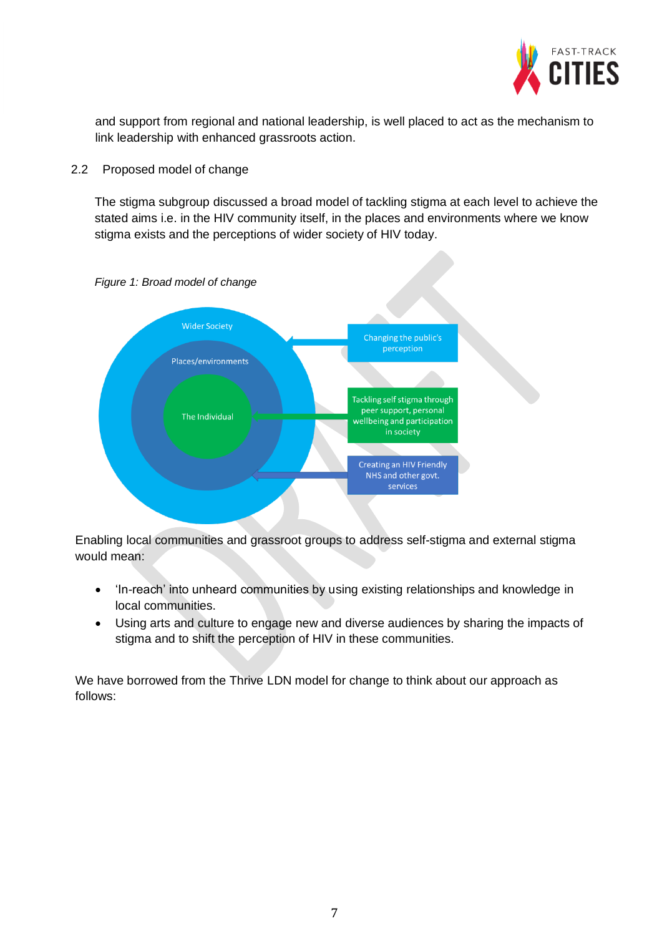

and support from regional and national leadership, is well placed to act as the mechanism to link leadership with enhanced grassroots action.

#### 2.2 Proposed model of change

The stigma subgroup discussed a broad model of tackling stigma at each level to achieve the stated aims i.e. in the HIV community itself, in the places and environments where we know stigma exists and the perceptions of wider society of HIV today.



*Figure 1: Broad model of change*

Enabling local communities and grassroot groups to address self-stigma and external stigma would mean:

- 'In-reach' into unheard communities by using existing relationships and knowledge in local communities.
- Using arts and culture to engage new and diverse audiences by sharing the impacts of stigma and to shift the perception of HIV in these communities.

We have borrowed from the Thrive LDN model for change to think about our approach as follows: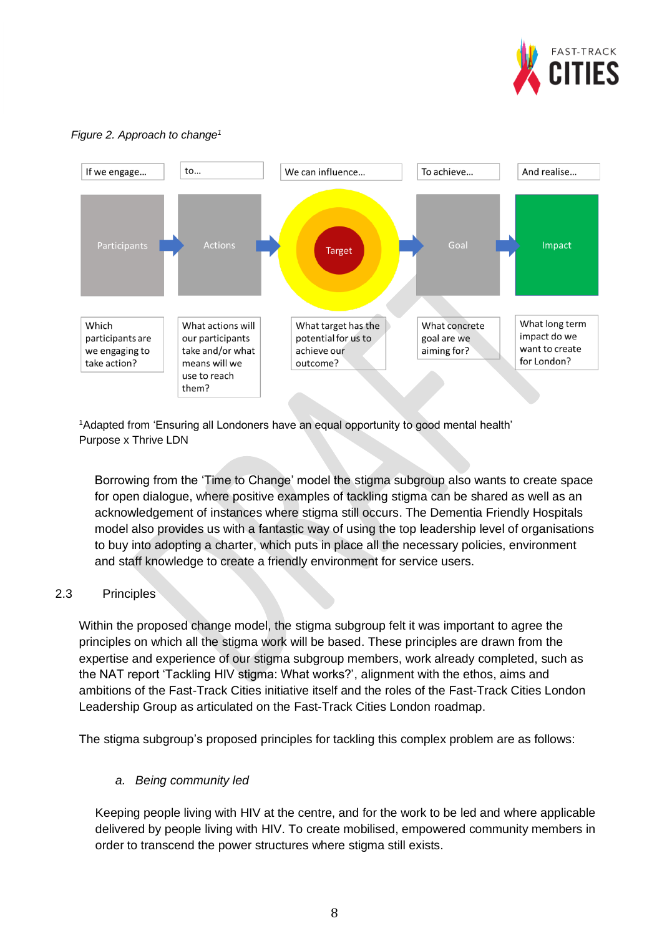

#### *Figure 2. Approach to change<sup>1</sup>*



<sup>1</sup>Adapted from 'Ensuring all Londoners have an equal opportunity to good mental health' Purpose x Thrive LDN

Borrowing from the 'Time to Change' model the stigma subgroup also wants to create space for open dialogue, where positive examples of tackling stigma can be shared as well as an acknowledgement of instances where stigma still occurs. The Dementia Friendly Hospitals model also provides us with a fantastic way of using the top leadership level of organisations to buy into adopting a charter, which puts in place all the necessary policies, environment and staff knowledge to create a friendly environment for service users.

## 2.3 Principles

Within the proposed change model, the stigma subgroup felt it was important to agree the principles on which all the stigma work will be based. These principles are drawn from the expertise and experience of our stigma subgroup members, work already completed, such as the NAT report 'Tackling HIV stigma: What works?', alignment with the ethos, aims and ambitions of the Fast-Track Cities initiative itself and the roles of the Fast-Track Cities London Leadership Group as articulated on the Fast-Track Cities London roadmap.

The stigma subgroup's proposed principles for tackling this complex problem are as follows:

#### *a. Being community led*

Keeping people living with HIV at the centre, and for the work to be led and where applicable delivered by people living with HIV. To create mobilised, empowered community members in order to transcend the power structures where stigma still exists.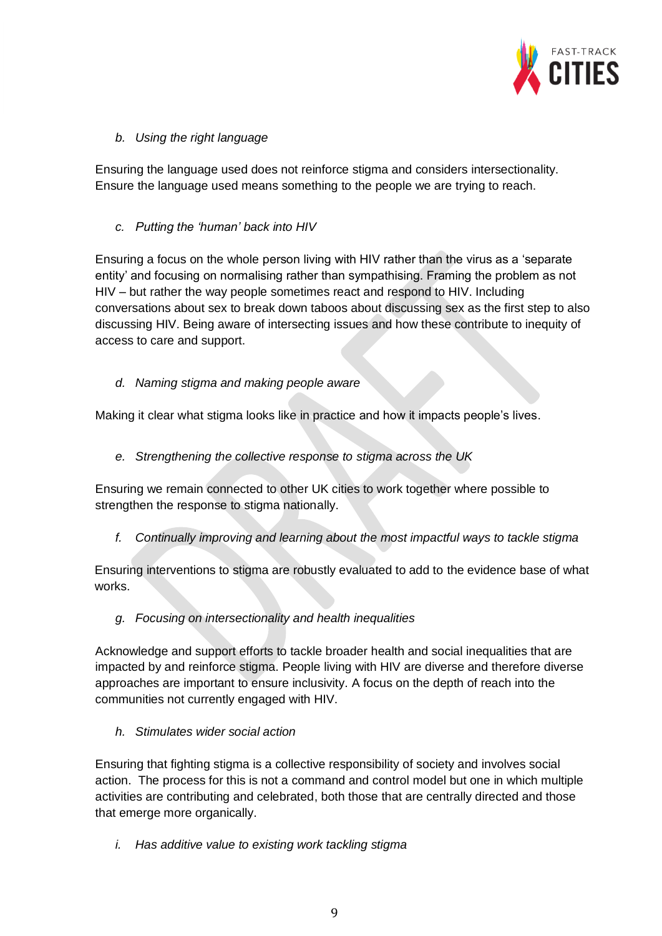

*b. Using the right language* 

Ensuring the language used does not reinforce stigma and considers intersectionality. Ensure the language used means something to the people we are trying to reach.

### *c. Putting the 'human' back into HIV*

Ensuring a focus on the whole person living with HIV rather than the virus as a 'separate entity' and focusing on normalising rather than sympathising. Framing the problem as not HIV – but rather the way people sometimes react and respond to HIV. Including conversations about sex to break down taboos about discussing sex as the first step to also discussing HIV. Being aware of intersecting issues and how these contribute to inequity of access to care and support.

*d. Naming stigma and making people aware*

Making it clear what stigma looks like in practice and how it impacts people's lives.

*e. Strengthening the collective response to stigma across the UK*

Ensuring we remain connected to other UK cities to work together where possible to strengthen the response to stigma nationally.

*f. Continually improving and learning about the most impactful ways to tackle stigma*

Ensuring interventions to stigma are robustly evaluated to add to the evidence base of what works.

*g. Focusing on intersectionality and health inequalities* 

Acknowledge and support efforts to tackle broader health and social inequalities that are impacted by and reinforce stigma. People living with HIV are diverse and therefore diverse approaches are important to ensure inclusivity. A focus on the depth of reach into the communities not currently engaged with HIV.

*h. Stimulates wider social action*

Ensuring that fighting stigma is a collective responsibility of society and involves social action. The process for this is not a command and control model but one in which multiple activities are contributing and celebrated, both those that are centrally directed and those that emerge more organically.

*i. Has additive value to existing work tackling stigma*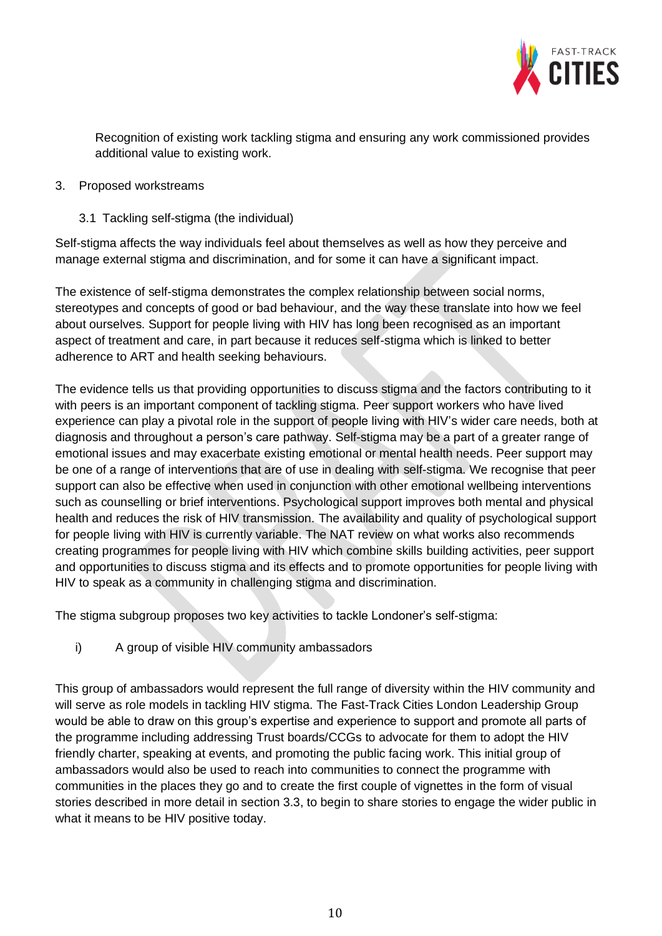

Recognition of existing work tackling stigma and ensuring any work commissioned provides additional value to existing work.

#### 3. Proposed workstreams

3.1 Tackling self-stigma (the individual)

Self-stigma affects the way individuals feel about themselves as well as how they perceive and manage external stigma and discrimination, and for some it can have a significant impact.

The existence of self-stigma demonstrates the complex relationship between social norms, stereotypes and concepts of good or bad behaviour, and the way these translate into how we feel about ourselves. Support for people living with HIV has long been recognised as an important aspect of treatment and care, in part because it reduces self-stigma which is linked to better adherence to ART and health seeking behaviours.

The evidence tells us that providing opportunities to discuss stigma and the factors contributing to it with peers is an important component of tackling stigma. Peer support workers who have lived experience can play a pivotal role in the support of people living with HIV's wider care needs, both at diagnosis and throughout a person's care pathway. Self-stigma may be a part of a greater range of emotional issues and may exacerbate existing emotional or mental health needs. Peer support may be one of a range of interventions that are of use in dealing with self-stigma. We recognise that peer support can also be effective when used in conjunction with other emotional wellbeing interventions such as counselling or brief interventions. Psychological support improves both mental and physical health and reduces the risk of HIV transmission. The availability and quality of psychological support for people living with HIV is currently variable. The NAT review on what works also recommends creating programmes for people living with HIV which combine skills building activities, peer support and opportunities to discuss stigma and its effects and to promote opportunities for people living with HIV to speak as a community in challenging stigma and discrimination.

The stigma subgroup proposes two key activities to tackle Londoner's self-stigma:

i) A group of visible HIV community ambassadors

This group of ambassadors would represent the full range of diversity within the HIV community and will serve as role models in tackling HIV stigma. The Fast-Track Cities London Leadership Group would be able to draw on this group's expertise and experience to support and promote all parts of the programme including addressing Trust boards/CCGs to advocate for them to adopt the HIV friendly charter, speaking at events, and promoting the public facing work. This initial group of ambassadors would also be used to reach into communities to connect the programme with communities in the places they go and to create the first couple of vignettes in the form of visual stories described in more detail in section 3.3, to begin to share stories to engage the wider public in what it means to be HIV positive today.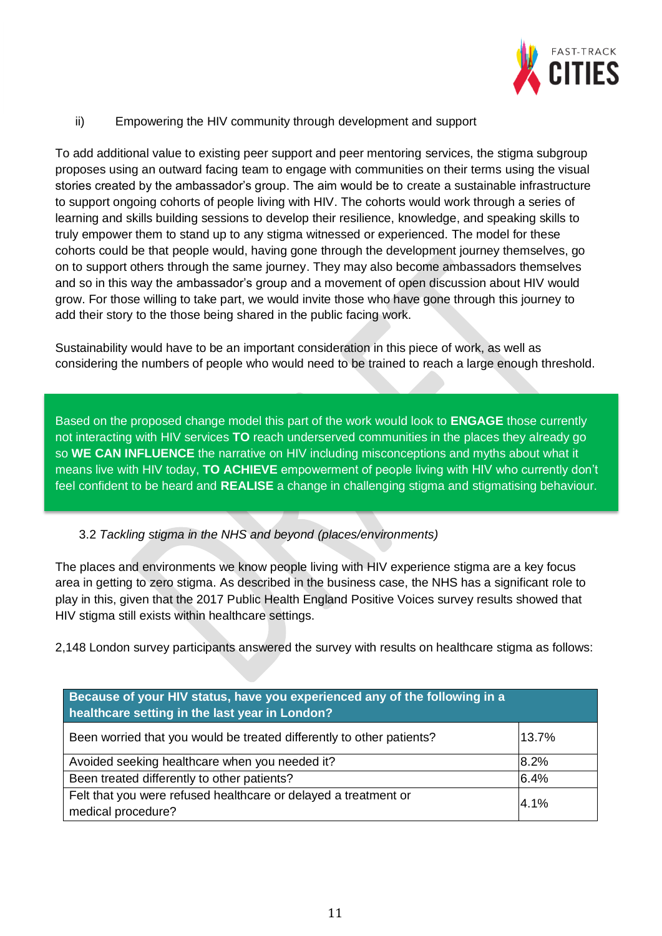

## ii) Empowering the HIV community through development and support

To add additional value to existing peer support and peer mentoring services, the stigma subgroup proposes using an outward facing team to engage with communities on their terms using the visual stories created by the ambassador's group. The aim would be to create a sustainable infrastructure to support ongoing cohorts of people living with HIV. The cohorts would work through a series of learning and skills building sessions to develop their resilience, knowledge, and speaking skills to truly empower them to stand up to any stigma witnessed or experienced. The model for these cohorts could be that people would, having gone through the development journey themselves, go on to support others through the same journey. They may also become ambassadors themselves and so in this way the ambassador's group and a movement of open discussion about HIV would grow. For those willing to take part, we would invite those who have gone through this journey to add their story to the those being shared in the public facing work.

Sustainability would have to be an important consideration in this piece of work, as well as considering the numbers of people who would need to be trained to reach a large enough threshold.

Based on the proposed change model this part of the work would look to **ENGAGE** those currently not interacting with HIV services **TO** reach underserved communities in the places they already go so **WE CAN INFLUENCE** the narrative on HIV including misconceptions and myths about what it means live with HIV today, **TO ACHIEVE** empowerment of people living with HIV who currently don't feel confident to be heard and **REALISE** a change in challenging stigma and stigmatising behaviour.

## 3.2 *Tackling stigma in the NHS and beyond (places/environments)*

The places and environments we know people living with HIV experience stigma are a key focus area in getting to zero stigma. As described in the business case, the NHS has a significant role to play in this, given that the 2017 Public Health England Positive Voices survey results showed that HIV stigma still exists within healthcare settings.

2,148 London survey participants answered the survey with results on healthcare stigma as follows:

| Because of your HIV status, have you experienced any of the following in a<br>healthcare setting in the last year in London? |       |
|------------------------------------------------------------------------------------------------------------------------------|-------|
| Been worried that you would be treated differently to other patients?                                                        | 13.7% |
| Avoided seeking healthcare when you needed it?                                                                               | 8.2%  |
| Been treated differently to other patients?                                                                                  | 6.4%  |
| Felt that you were refused healthcare or delayed a treatment or<br>medical procedure?                                        | 4.1%  |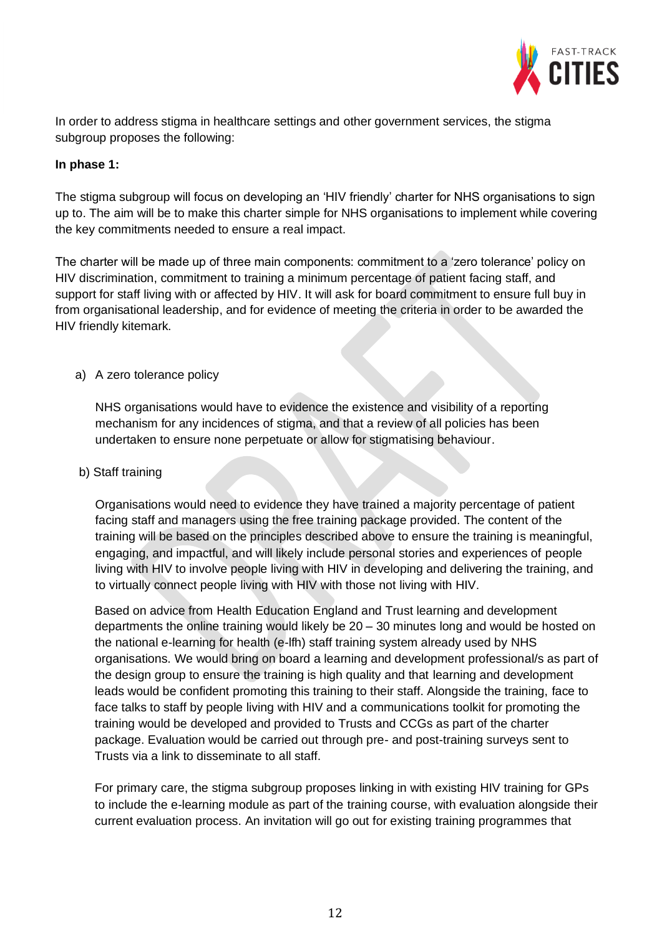

In order to address stigma in healthcare settings and other government services, the stigma subgroup proposes the following:

#### **In phase 1:**

The stigma subgroup will focus on developing an 'HIV friendly' charter for NHS organisations to sign up to. The aim will be to make this charter simple for NHS organisations to implement while covering the key commitments needed to ensure a real impact.

The charter will be made up of three main components: commitment to a 'zero tolerance' policy on HIV discrimination, commitment to training a minimum percentage of patient facing staff, and support for staff living with or affected by HIV. It will ask for board commitment to ensure full buy in from organisational leadership, and for evidence of meeting the criteria in order to be awarded the HIV friendly kitemark.

a) A zero tolerance policy

NHS organisations would have to evidence the existence and visibility of a reporting mechanism for any incidences of stigma, and that a review of all policies has been undertaken to ensure none perpetuate or allow for stigmatising behaviour.

#### b) Staff training

Organisations would need to evidence they have trained a majority percentage of patient facing staff and managers using the free training package provided. The content of the training will be based on the principles described above to ensure the training is meaningful, engaging, and impactful, and will likely include personal stories and experiences of people living with HIV to involve people living with HIV in developing and delivering the training, and to virtually connect people living with HIV with those not living with HIV.

Based on advice from Health Education England and Trust learning and development departments the online training would likely be 20 – 30 minutes long and would be hosted on the national e-learning for health (e-lfh) staff training system already used by NHS organisations. We would bring on board a learning and development professional/s as part of the design group to ensure the training is high quality and that learning and development leads would be confident promoting this training to their staff. Alongside the training, face to face talks to staff by people living with HIV and a communications toolkit for promoting the training would be developed and provided to Trusts and CCGs as part of the charter package. Evaluation would be carried out through pre- and post-training surveys sent to Trusts via a link to disseminate to all staff.

For primary care, the stigma subgroup proposes linking in with existing HIV training for GPs to include the e-learning module as part of the training course, with evaluation alongside their current evaluation process. An invitation will go out for existing training programmes that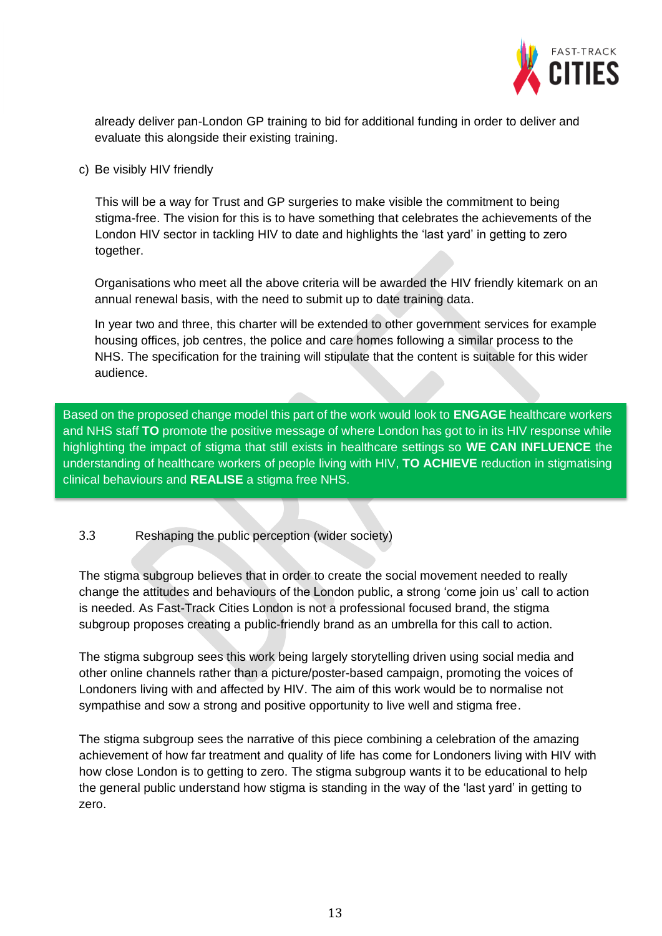

already deliver pan-London GP training to bid for additional funding in order to deliver and evaluate this alongside their existing training.

c) Be visibly HIV friendly

This will be a way for Trust and GP surgeries to make visible the commitment to being stigma-free. The vision for this is to have something that celebrates the achievements of the London HIV sector in tackling HIV to date and highlights the 'last yard' in getting to zero together.

Organisations who meet all the above criteria will be awarded the HIV friendly kitemark on an annual renewal basis, with the need to submit up to date training data.

In year two and three, this charter will be extended to other government services for example housing offices, job centres, the police and care homes following a similar process to the NHS. The specification for the training will stipulate that the content is suitable for this wider audience.

Based on the proposed change model this part of the work would look to **ENGAGE** healthcare workers and NHS staff **TO** promote the positive message of where London has got to in its HIV response while highlighting the impact of stigma that still exists in healthcare settings so **WE CAN INFLUENCE** the understanding of healthcare workers of people living with HIV, **TO ACHIEVE** reduction in stigmatising clinical behaviours and **REALISE** a stigma free NHS.

## 3.3 Reshaping the public perception (wider society)

The stigma subgroup believes that in order to create the social movement needed to really change the attitudes and behaviours of the London public, a strong 'come join us' call to action is needed. As Fast-Track Cities London is not a professional focused brand, the stigma subgroup proposes creating a public-friendly brand as an umbrella for this call to action.

The stigma subgroup sees this work being largely storytelling driven using social media and other online channels rather than a picture/poster-based campaign, promoting the voices of Londoners living with and affected by HIV. The aim of this work would be to normalise not sympathise and sow a strong and positive opportunity to live well and stigma free.

The stigma subgroup sees the narrative of this piece combining a celebration of the amazing achievement of how far treatment and quality of life has come for Londoners living with HIV with how close London is to getting to zero. The stigma subgroup wants it to be educational to help the general public understand how stigma is standing in the way of the 'last yard' in getting to zero.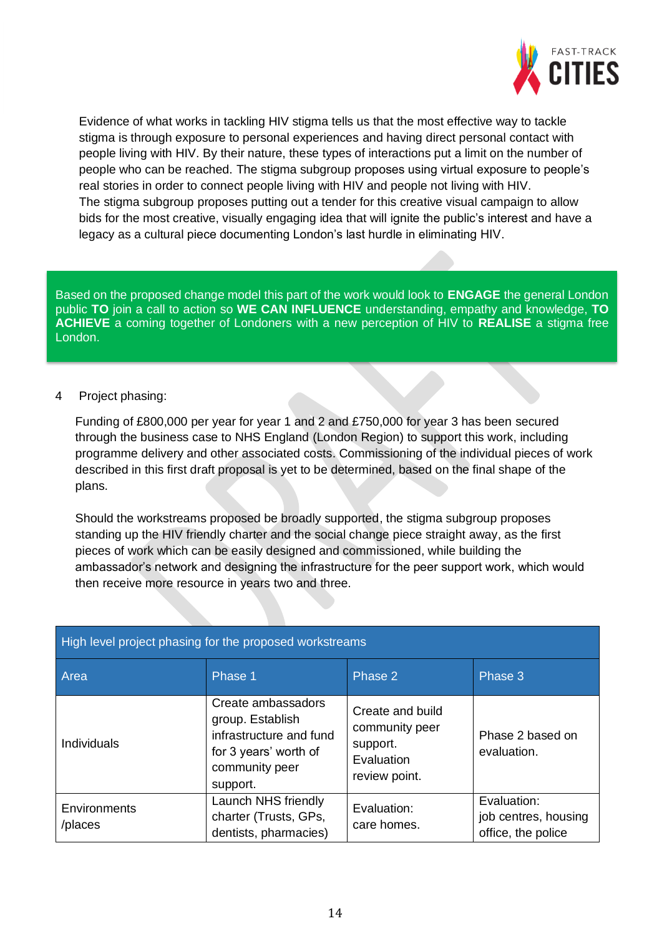

Evidence of what works in tackling HIV stigma tells us that the most effective way to tackle stigma is through exposure to personal experiences and having direct personal contact with people living with HIV. By their nature, these types of interactions put a limit on the number of people who can be reached. The stigma subgroup proposes using virtual exposure to people's real stories in order to connect people living with HIV and people not living with HIV. The stigma subgroup proposes putting out a tender for this creative visual campaign to allow bids for the most creative, visually engaging idea that will ignite the public's interest and have a legacy as a cultural piece documenting London's last hurdle in eliminating HIV.

Based on the proposed change model this part of the work would look to **ENGAGE** the general London public **TO** join a call to action so **WE CAN INFLUENCE** understanding, empathy and knowledge, **TO ACHIEVE** a coming together of Londoners with a new perception of HIV to **REALISE** a stigma free London.

#### 4 Project phasing:

Funding of £800,000 per year for year 1 and 2 and £750,000 for year 3 has been secured through the business case to NHS England (London Region) to support this work, including programme delivery and other associated costs. Commissioning of the individual pieces of work described in this first draft proposal is yet to be determined, based on the final shape of the plans.

Should the workstreams proposed be broadly supported, the stigma subgroup proposes standing up the HIV friendly charter and the social change piece straight away, as the first pieces of work which can be easily designed and commissioned, while building the ambassador's network and designing the infrastructure for the peer support work, which would then receive more resource in years two and three.

| High level project phasing for the proposed workstreams |                                                                                                                          |                                                                               |                                                           |
|---------------------------------------------------------|--------------------------------------------------------------------------------------------------------------------------|-------------------------------------------------------------------------------|-----------------------------------------------------------|
| Area                                                    | Phase 1                                                                                                                  | Phase 2                                                                       | Phase 3                                                   |
| <b>Individuals</b>                                      | Create ambassadors<br>group. Establish<br>infrastructure and fund<br>for 3 years' worth of<br>community peer<br>support. | Create and build<br>community peer<br>support.<br>Evaluation<br>review point. | Phase 2 based on<br>evaluation.                           |
| Environments<br>/places                                 | Launch NHS friendly<br>charter (Trusts, GPs,<br>dentists, pharmacies)                                                    | Evaluation:<br>care homes.                                                    | Evaluation:<br>job centres, housing<br>office, the police |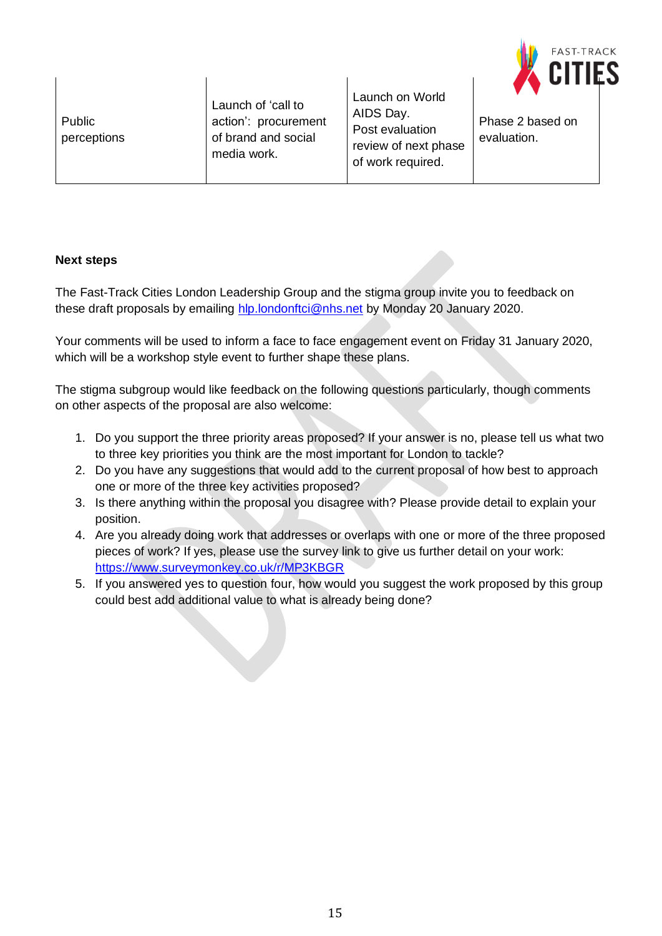

Public perceptions Launch of 'call to action': procurement of brand and social media work.

Launch on World AIDS Day. Post evaluation review of next phase of work required.

Phase 2 based on evaluation.

## **Next steps**

The Fast-Track Cities London Leadership Group and the stigma group invite you to feedback on these draft proposals by emailing [hlp.londonftci@nhs.net](mailto:hlp.londonftci@nhs.net) by Monday 20 January 2020.

Your comments will be used to inform a face to face engagement event on Friday 31 January 2020, which will be a workshop style event to further shape these plans.

The stigma subgroup would like feedback on the following questions particularly, though comments on other aspects of the proposal are also welcome:

- 1. Do you support the three priority areas proposed? If your answer is no, please tell us what two to three key priorities you think are the most important for London to tackle?
- 2. Do you have any suggestions that would add to the current proposal of how best to approach one or more of the three key activities proposed?
- 3. Is there anything within the proposal you disagree with? Please provide detail to explain your position.
- 4. Are you already doing work that addresses or overlaps with one or more of the three proposed pieces of work? If yes, please use the survey link to give us further detail on your work: <https://www.surveymonkey.co.uk/r/MP3KBGR>
- 5. If you answered yes to question four, how would you suggest the work proposed by this group could best add additional value to what is already being done?